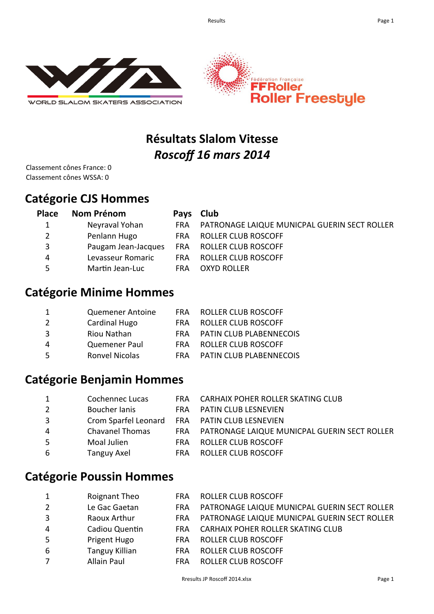

WORLD SLALOM SKATERS ASSOCIATION



# **Résultats Slalom Vitesse**  *Roscoff 16 mars 2014*

Classement cônes France: 0 Classement cônes WSSA: 0

## **Catégorie CJS Hommes**

| <b>Place</b> | Nom Prénom          |            | Pays Club                                    |
|--------------|---------------------|------------|----------------------------------------------|
|              | Neyraval Yohan      | FRA        | PATRONAGE LAIQUE MUNICPAL GUERIN SECT ROLLER |
|              | Penlann Hugo        | <b>FRA</b> | ROLLER CLUB ROSCOFF                          |
| 3            | Paugam Jean-Jacques | <b>FRA</b> | ROLLER CLUB ROSCOFF                          |
| 4            | Levasseur Romaric   | <b>FRA</b> | <b>ROLLER CLUB ROSCOFF</b>                   |
| 5.           | Martin Jean-Luc     | <b>FRA</b> | <b>OXYD ROLLER</b>                           |

### **Catégorie Minime Hommes**

| 1 | Quemener Antoine      | <b>FRA</b> | ROLLER CLUB ROSCOFF            |
|---|-----------------------|------------|--------------------------------|
| 2 | <b>Cardinal Hugo</b>  | FRA        | <b>ROLLER CLUB ROSCOFF</b>     |
| 3 | Riou Nathan           | FRA        | <b>PATIN CLUB PLABENNECOIS</b> |
| 4 | Quemener Paul         | FRA        | ROLLER CLUB ROSCOFF            |
| 5 | <b>Ronvel Nicolas</b> | FRA        | <b>PATIN CLUB PLABENNECOIS</b> |

### **Catégorie Benjamin Hommes**

| Cochennec Lucas        |               | FRA CARHAIX POHER ROLLER SKATING CLUB            |
|------------------------|---------------|--------------------------------------------------|
|                        | FRA.          | <b>PATIN CLUB LESNEVIEN</b>                      |
|                        |               |                                                  |
| <b>Chavanel Thomas</b> |               | FRA PATRONAGE LAIQUE MUNICPAL GUERIN SECT ROLLER |
| Moal Julien            | <b>FRA</b>    | <b>ROLLER CLUB ROSCOFF</b>                       |
| <b>Tanguy Axel</b>     | <b>FRA</b>    | <b>ROLLER CLUB ROSCOFF</b>                       |
|                        | Boucher lanis | Crom Sparfel Leonard FRA PATIN CLUB LESNEVIEN    |

#### **Catégorie Poussin Hommes**

| $\mathbf{1}$   | Roignant Theo         | <b>FRA</b> | <b>ROLLER CLUB ROSCOFF</b>                   |
|----------------|-----------------------|------------|----------------------------------------------|
| $\overline{2}$ | Le Gac Gaetan         | <b>FRA</b> | PATRONAGE LAIQUE MUNICPAL GUERIN SECT ROLLER |
| 3              | Raoux Arthur          | <b>FRA</b> | PATRONAGE LAIQUE MUNICPAL GUERIN SECT ROLLER |
| $\overline{4}$ | Cadiou Quentin        | <b>FRA</b> | <b>CARHAIX POHER ROLLER SKATING CLUB</b>     |
| 5              | Prigent Hugo          | <b>FRA</b> | <b>ROLLER CLUB ROSCOFF</b>                   |
| 6              | <b>Tanguy Killian</b> | <b>FRA</b> | <b>ROLLER CLUB ROSCOFF</b>                   |
| $\overline{7}$ | <b>Allain Paul</b>    | <b>FRA</b> | <b>ROLLER CLUB ROSCOFF</b>                   |